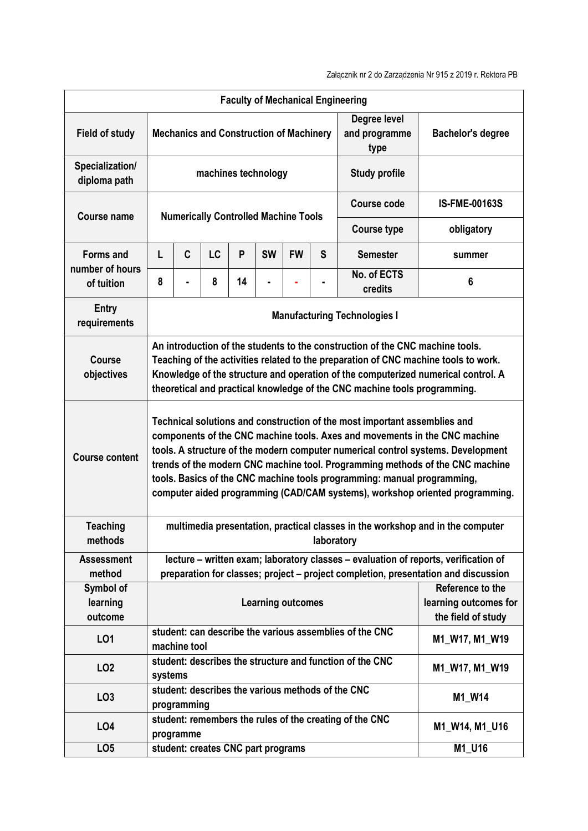| <b>Faculty of Mechanical Engineering</b> |                                                                                                                                                                                                                                                                                                                                                                                                                                                                                         |                                                                                        |    |                                                         |                                                |           |                                       |                          |                      |  |  |
|------------------------------------------|-----------------------------------------------------------------------------------------------------------------------------------------------------------------------------------------------------------------------------------------------------------------------------------------------------------------------------------------------------------------------------------------------------------------------------------------------------------------------------------------|----------------------------------------------------------------------------------------|----|---------------------------------------------------------|------------------------------------------------|-----------|---------------------------------------|--------------------------|----------------------|--|--|
| <b>Field of study</b>                    |                                                                                                                                                                                                                                                                                                                                                                                                                                                                                         |                                                                                        |    |                                                         | <b>Mechanics and Construction of Machinery</b> |           | Degree level<br>and programme<br>type | <b>Bachelor's degree</b> |                      |  |  |
| Specialization/<br>diploma path          | machines technology                                                                                                                                                                                                                                                                                                                                                                                                                                                                     |                                                                                        |    |                                                         |                                                |           |                                       | <b>Study profile</b>     |                      |  |  |
| <b>Course name</b>                       | <b>Numerically Controlled Machine Tools</b>                                                                                                                                                                                                                                                                                                                                                                                                                                             |                                                                                        |    |                                                         |                                                |           |                                       | <b>Course code</b>       | <b>IS-FME-00163S</b> |  |  |
|                                          |                                                                                                                                                                                                                                                                                                                                                                                                                                                                                         |                                                                                        |    |                                                         |                                                |           | <b>Course type</b>                    | obligatory               |                      |  |  |
| <b>Forms and</b>                         | L                                                                                                                                                                                                                                                                                                                                                                                                                                                                                       | C                                                                                      | LC | P                                                       | <b>SW</b>                                      | <b>FW</b> | S                                     | <b>Semester</b>          | summer               |  |  |
| number of hours<br>of tuition            | 8                                                                                                                                                                                                                                                                                                                                                                                                                                                                                       |                                                                                        | 8  | 14                                                      |                                                |           |                                       | No. of ECTS<br>credits   | 6                    |  |  |
| <b>Entry</b><br>requirements             | <b>Manufacturing Technologies I</b>                                                                                                                                                                                                                                                                                                                                                                                                                                                     |                                                                                        |    |                                                         |                                                |           |                                       |                          |                      |  |  |
| <b>Course</b><br>objectives              | An introduction of the students to the construction of the CNC machine tools.<br>Teaching of the activities related to the preparation of CNC machine tools to work.<br>Knowledge of the structure and operation of the computerized numerical control. A<br>theoretical and practical knowledge of the CNC machine tools programming.                                                                                                                                                  |                                                                                        |    |                                                         |                                                |           |                                       |                          |                      |  |  |
| <b>Course content</b>                    | Technical solutions and construction of the most important assemblies and<br>components of the CNC machine tools. Axes and movements in the CNC machine<br>tools. A structure of the modern computer numerical control systems. Development<br>trends of the modern CNC machine tool. Programming methods of the CNC machine<br>tools. Basics of the CNC machine tools programming: manual programming,<br>computer aided programming (CAD/CAM systems), workshop oriented programming. |                                                                                        |    |                                                         |                                                |           |                                       |                          |                      |  |  |
| <b>Teaching</b><br>methods               | multimedia presentation, practical classes in the workshop and in the computer<br>laboratory                                                                                                                                                                                                                                                                                                                                                                                            |                                                                                        |    |                                                         |                                                |           |                                       |                          |                      |  |  |
| <b>Assessment</b><br>method              | lecture - written exam; laboratory classes - evaluation of reports, verification of<br>preparation for classes; project - project completion, presentation and discussion                                                                                                                                                                                                                                                                                                               |                                                                                        |    |                                                         |                                                |           |                                       |                          |                      |  |  |
| Symbol of<br>learning<br>outcome         | Reference to the<br>learning outcomes for<br><b>Learning outcomes</b><br>the field of study                                                                                                                                                                                                                                                                                                                                                                                             |                                                                                        |    |                                                         |                                                |           |                                       |                          |                      |  |  |
| LO1                                      |                                                                                                                                                                                                                                                                                                                                                                                                                                                                                         | machine tool                                                                           |    | student: can describe the various assemblies of the CNC | M1_W17, M1_W19                                 |           |                                       |                          |                      |  |  |
| LO <sub>2</sub>                          | student: describes the structure and function of the CNC<br>M1_W17, M1_W19<br>systems                                                                                                                                                                                                                                                                                                                                                                                                   |                                                                                        |    |                                                         |                                                |           |                                       |                          |                      |  |  |
| LO <sub>3</sub>                          | student: describes the various methods of the CNC<br>M1_W14<br>programming                                                                                                                                                                                                                                                                                                                                                                                                              |                                                                                        |    |                                                         |                                                |           |                                       |                          |                      |  |  |
| LO4                                      |                                                                                                                                                                                                                                                                                                                                                                                                                                                                                         | student: remembers the rules of the creating of the CNC<br>M1_W14, M1_U16<br>programme |    |                                                         |                                                |           |                                       |                          |                      |  |  |
| LO <sub>5</sub>                          | student: creates CNC part programs<br>M1_U16                                                                                                                                                                                                                                                                                                                                                                                                                                            |                                                                                        |    |                                                         |                                                |           |                                       |                          |                      |  |  |